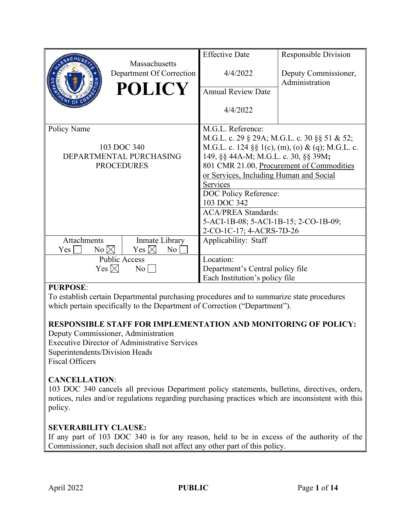|                                                   | Massachusetts            | <b>Effective Date</b>                            | <b>Responsible Division</b> |
|---------------------------------------------------|--------------------------|--------------------------------------------------|-----------------------------|
|                                                   | Department Of Correction | 4/4/2022                                         | Deputy Commissioner,        |
|                                                   | <b>POLICY</b>            |                                                  | Administration              |
|                                                   |                          | <b>Annual Review Date</b>                        |                             |
|                                                   |                          | 4/4/2022                                         |                             |
| Policy Name                                       |                          | M.G.L. Reference:                                |                             |
|                                                   |                          | M.G.L. c. 29 § 29A; M.G.L. c. 30 §§ 51 & 52;     |                             |
| 103 DOC 340                                       |                          | M.G.L. c. 124 §§ 1(c), (m), (o) & (q); M.G.L. c. |                             |
| DEPARTMENTAL PURCHASING                           |                          | 149, §§ 44A-M; M.G.L. c. 30, §§ 39M;             |                             |
| <b>PROCEDURES</b>                                 |                          | 801 CMR 21.00, Procurement of Commodities        |                             |
|                                                   |                          | or Services, Including Human and Social          |                             |
|                                                   |                          | Services                                         |                             |
|                                                   |                          | DOC Policy Reference:                            |                             |
|                                                   |                          | 103 DOC 342                                      |                             |
|                                                   |                          | <b>ACA/PREA Standards:</b>                       |                             |
|                                                   |                          | 5-ACI-1B-08; 5-ACI-1B-15; 2-CO-1B-09;            |                             |
|                                                   |                          | 2-CO-1C-17; 4-ACRS-7D-26                         |                             |
| Attachments                                       | Inmate Library           | Applicability: Staff                             |                             |
| $Yes \_$<br>$No \bowtie$<br>Yes $\boxtimes$<br>No |                          |                                                  |                             |
| <b>Public Access</b>                              |                          | Location:                                        |                             |
| Yes $\boxtimes$<br>$\overline{N_{0}}$             |                          | Department's Central policy file                 |                             |
|                                                   |                          | Each Institution's policy file                   |                             |

# **PURPOSE**:

To establish certain Departmental purchasing procedures and to summarize state procedures which pertain specifically to the Department of Correction ("Department").

# **RESPONSIBLE STAFF FOR IMPLEMENTATION AND MONITORING OF POLICY:**

Deputy Commissioner, Administration Executive Director of Administrative Services Superintendents/Division Heads Fiscal Officers

# **CANCELLATION**:

103 DOC 340 cancels all previous Department policy statements, bulletins, directives, orders, notices, rules and/or regulations regarding purchasing practices which are inconsistent with this policy.

# **SEVERABILITY CLAUSE:**

If any part of 103 DOC 340 is for any reason, held to be in excess of the authority of the Commissioner, such decision shall not affect any other part of this policy.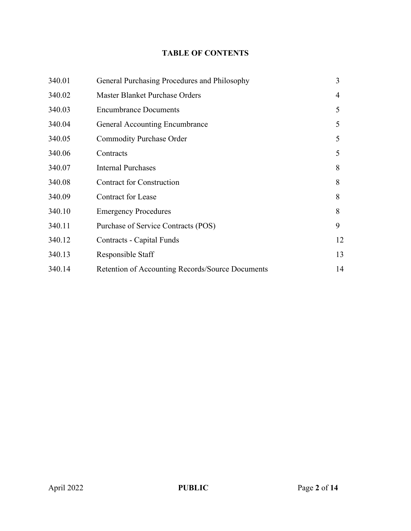# **TABLE OF CONTENTS**

| 340.01 | General Purchasing Procedures and Philosophy     | 3  |
|--------|--------------------------------------------------|----|
| 340.02 | Master Blanket Purchase Orders                   | 4  |
| 340.03 | <b>Encumbrance Documents</b>                     | 5  |
| 340.04 | <b>General Accounting Encumbrance</b>            | 5  |
| 340.05 | <b>Commodity Purchase Order</b>                  | 5  |
| 340.06 | Contracts                                        | 5  |
| 340.07 | <b>Internal Purchases</b>                        | 8  |
| 340.08 | <b>Contract for Construction</b>                 | 8  |
| 340.09 | <b>Contract for Lease</b>                        | 8  |
| 340.10 | <b>Emergency Procedures</b>                      | 8  |
| 340.11 | Purchase of Service Contracts (POS)              | 9  |
| 340.12 | Contracts - Capital Funds                        | 12 |
| 340.13 | Responsible Staff                                | 13 |
| 340.14 | Retention of Accounting Records/Source Documents | 14 |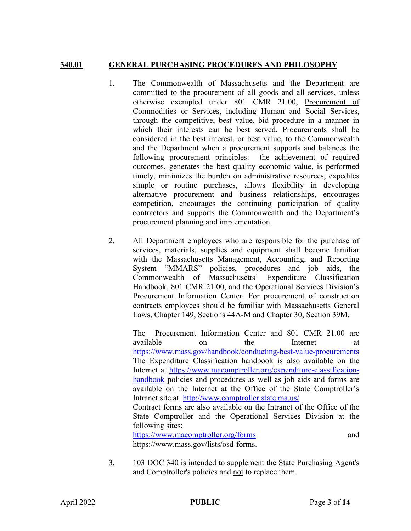## **340.01 GENERAL PURCHASING PROCEDURES AND PHILOSOPHY**

- 1. The Commonwealth of Massachusetts and the Department are committed to the procurement of all goods and all services, unless otherwise exempted under 801 CMR 21.00, Procurement of Commodities or Services, including Human and Social Services, through the competitive, best value, bid procedure in a manner in which their interests can be best served. Procurements shall be considered in the best interest, or best value, to the Commonwealth and the Department when a procurement supports and balances the following procurement principles: the achievement of required outcomes, generates the best quality economic value, is performed timely, minimizes the burden on administrative resources, expedites simple or routine purchases, allows flexibility in developing alternative procurement and business relationships, encourages competition, encourages the continuing participation of quality contractors and supports the Commonwealth and the Department's procurement planning and implementation.
- 2. All Department employees who are responsible for the purchase of services, materials, supplies and equipment shall become familiar with the Massachusetts Management, Accounting, and Reporting System "MMARS" policies, procedures and job aids, the Commonwealth of Massachusetts' Expenditure Classification Handbook, 801 CMR 21.00, and the Operational Services Division's Procurement Information Center. For procurement of construction contracts employees should be familiar with Massachusetts General Laws, Chapter 149, Sections 44A-M and Chapter 30, Section 39M.

The Procurement Information Center and 801 CMR 21.00 are available on the Internet at <https://www.mass.gov/handbook/conducting-best-value-procurements> The Expenditure Classification handbook is also available on the Internet at [https://www.macomptroller.org/expenditure-classification](https://www.macomptroller.org/expenditure-classification-handbook)[handbook](https://www.macomptroller.org/expenditure-classification-handbook) policies and procedures as well as job aids and forms are available on the Internet at the Office of the State Comptroller's Intranet site at <http://www.comptroller.state.ma.us/> Contract forms are also available on the Intranet of the Office of the

State Comptroller and the Operational Services Division at the following sites: <https://www.macomptroller.org/forms> and

https://www.mass.gov/lists/osd-forms.

3. 103 DOC 340 is intended to supplement the State Purchasing Agent's and Comptroller's policies and not to replace them.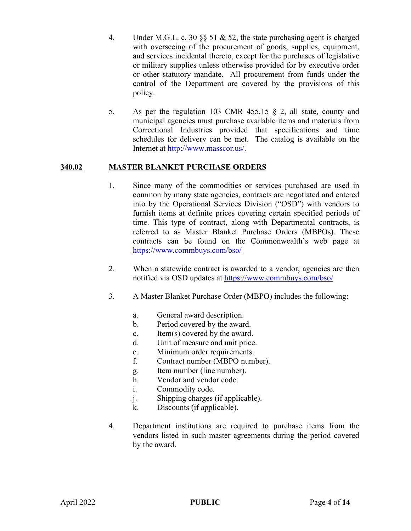- 4. Under M.G.L. c. 30  $\S$  51 & 52, the state purchasing agent is charged with overseeing of the procurement of goods, supplies, equipment, and services incidental thereto, except for the purchases of legislative or military supplies unless otherwise provided for by executive order or other statutory mandate. All procurement from funds under the control of the Department are covered by the provisions of this policy.
- 5. As per the regulation 103 CMR 455.15  $\S$  2, all state, county and municipal agencies must purchase available items and materials from Correctional Industries provided that specifications and time schedules for delivery can be met. The catalog is available on the Internet at [http://www.masscor.us/.](http://www.masscor.us/)

# **340.02 MASTER BLANKET PURCHASE ORDERS**

- 1. Since many of the commodities or services purchased are used in common by many state agencies, contracts are negotiated and entered into by the Operational Services Division ("OSD") with vendors to furnish items at definite prices covering certain specified periods of time. This type of contract, along with Departmental contracts, is referred to as Master Blanket Purchase Orders (MBPOs). These contracts can be found on the Commonwealth's web page at <https://www.commbuys.com/bso/>
- 2. When a statewide contract is awarded to a vendor, agencies are then notified via OSD updates at https://www.commbuys.com/bso/
- 3. A Master Blanket Purchase Order (MBPO) includes the following:
	- a. General award description.
	- b. Period covered by the award.
	- c. Item(s) covered by the award.
	- d. Unit of measure and unit price.
	- e. Minimum order requirements.
	- f. Contract number (MBPO number).
	- g. Item number (line number).
	- h. Vendor and vendor code.
	- i. Commodity code.
	- j. Shipping charges (if applicable).
	- k. Discounts (if applicable).
- 4. Department institutions are required to purchase items from the vendors listed in such master agreements during the period covered by the award.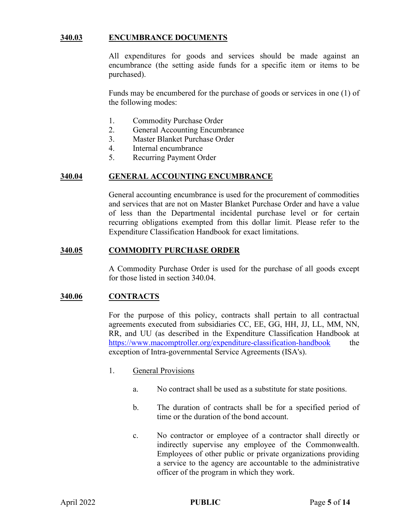## **340.03 ENCUMBRANCE DOCUMENTS**

All expenditures for goods and services should be made against an encumbrance (the setting aside funds for a specific item or items to be purchased).

Funds may be encumbered for the purchase of goods or services in one (1) of the following modes:

- 1. Commodity Purchase Order
- 2. General Accounting Encumbrance
- 3. Master Blanket Purchase Order
- 4. Internal encumbrance
- 5. Recurring Payment Order

#### **340.04 GENERAL ACCOUNTING ENCUMBRANCE**

General accounting encumbrance is used for the procurement of commodities and services that are not on Master Blanket Purchase Order and have a value of less than the Departmental incidental purchase level or for certain recurring obligations exempted from this dollar limit. Please refer to the Expenditure Classification Handbook for exact limitations.

#### **340.05 COMMODITY PURCHASE ORDER**

A Commodity Purchase Order is used for the purchase of all goods except for those listed in section 340.04.

## **340.06 CONTRACTS**

For the purpose of this policy, contracts shall pertain to all contractual agreements executed from subsidiaries CC, EE, GG, HH, JJ, LL, MM, NN, RR, and UU (as described in the Expenditure Classification Handbook at <https://www.macomptroller.org/expenditure-classification-handbook>the exception of Intra-governmental Service Agreements (ISA's).

- 1. General Provisions
	- a. No contract shall be used as a substitute for state positions.
	- b. The duration of contracts shall be for a specified period of time or the duration of the bond account.
	- c. No contractor or employee of a contractor shall directly or indirectly supervise any employee of the Commonwealth. Employees of other public or private organizations providing a service to the agency are accountable to the administrative officer of the program in which they work.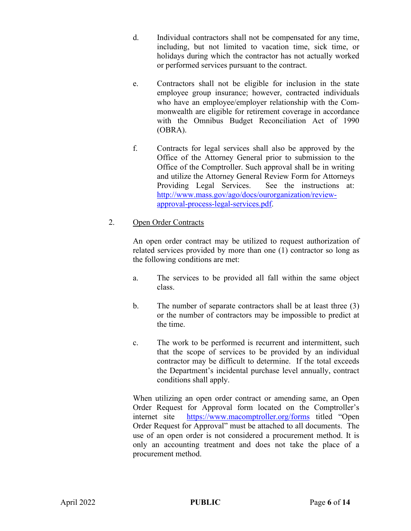- d. Individual contractors shall not be compensated for any time, including, but not limited to vacation time, sick time, or holidays during which the contractor has not actually worked or performed services pursuant to the contract.
- e. Contractors shall not be eligible for inclusion in the state employee group insurance; however, contracted individuals who have an employee/employer relationship with the Commonwealth are eligible for retirement coverage in accordance with the Omnibus Budget Reconciliation Act of 1990 (OBRA).
- f. Contracts for legal services shall also be approved by the Office of the Attorney General prior to submission to the Office of the Comptroller. Such approval shall be in writing and utilize the Attorney General Review Form for Attorneys Providing Legal Services. See the instructions at: [http://www.mass.gov/ago/docs/ourorganization/review](http://www.mass.gov/ago/docs/ourorganization/review-approval-process-legal-services.pdf)[approval-process-legal-services.pdf.](http://www.mass.gov/ago/docs/ourorganization/review-approval-process-legal-services.pdf)

# 2. Open Order Contracts

An open order contract may be utilized to request authorization of related services provided by more than one (1) contractor so long as the following conditions are met:

- a. The services to be provided all fall within the same object class.
- b. The number of separate contractors shall be at least three (3) or the number of contractors may be impossible to predict at the time.
- c. The work to be performed is recurrent and intermittent, such that the scope of services to be provided by an individual contractor may be difficult to determine. If the total exceeds the Department's incidental purchase level annually, contract conditions shall apply.

When utilizing an open order contract or amending same, an Open Order Request for Approval form located on the Comptroller's internet site <https://www.macomptroller.org/forms> titled "Open Order Request for Approval" must be attached to all documents. The use of an open order is not considered a procurement method. It is only an accounting treatment and does not take the place of a procurement method.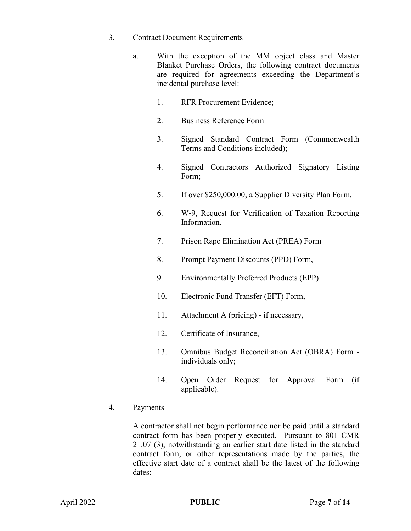## 3. Contract Document Requirements

- a. With the exception of the MM object class and Master Blanket Purchase Orders, the following contract documents are required for agreements exceeding the Department's incidental purchase level:
	- 1. RFR Procurement Evidence;
	- 2. Business Reference Form
	- 3. Signed Standard Contract Form (Commonwealth Terms and Conditions included);
	- 4. Signed Contractors Authorized Signatory Listing Form;
	- 5. If over \$250,000.00, a Supplier Diversity Plan Form.
	- 6. W-9, Request for Verification of Taxation Reporting Information.
	- 7. Prison Rape Elimination Act (PREA) Form
	- 8. Prompt Payment Discounts (PPD) Form,
	- 9. Environmentally Preferred Products (EPP)
	- 10. Electronic Fund Transfer (EFT) Form,
	- 11. Attachment A (pricing) if necessary,
	- 12. Certificate of Insurance,
	- 13. Omnibus Budget Reconciliation Act (OBRA) Form individuals only;
	- 14. Open Order Request for Approval Form (if applicable).

## 4. Payments

A contractor shall not begin performance nor be paid until a standard contract form has been properly executed. Pursuant to 801 CMR 21.07 (3), notwithstanding an earlier start date listed in the standard contract form, or other representations made by the parties, the effective start date of a contract shall be the latest of the following dates: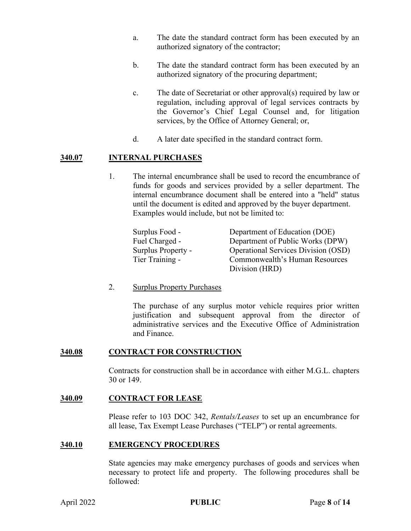- a. The date the standard contract form has been executed by an authorized signatory of the contractor;
- b. The date the standard contract form has been executed by an authorized signatory of the procuring department;
- c. The date of Secretariat or other approval(s) required by law or regulation, including approval of legal services contracts by the Governor's Chief Legal Counsel and, for litigation services, by the Office of Attorney General; or,
- d. A later date specified in the standard contract form.

## **340.07 INTERNAL PURCHASES**

1. The internal encumbrance shall be used to record the encumbrance of funds for goods and services provided by a seller department. The internal encumbrance document shall be entered into a "held" status until the document is edited and approved by the buyer department. Examples would include, but not be limited to:

| Surplus Food -            | Department of Education (DOE)              |
|---------------------------|--------------------------------------------|
| Fuel Charged -            | Department of Public Works (DPW)           |
| <b>Surplus Property -</b> | <b>Operational Services Division (OSD)</b> |
| Tier Training -           | Commonwealth's Human Resources             |
|                           | Division (HRD)                             |

## 2. Surplus Property Purchases

The purchase of any surplus motor vehicle requires prior written justification and subsequent approval from the director of administrative services and the Executive Office of Administration and Finance.

## **340.08 CONTRACT FOR CONSTRUCTION**

Contracts for construction shall be in accordance with either M.G.L. chapters 30 or 149.

## **340.09 CONTRACT FOR LEASE**

Please refer to 103 DOC 342, *Rentals/Leases* to set up an encumbrance for all lease, Tax Exempt Lease Purchases ("TELP") or rental agreements.

## **340.10 EMERGENCY PROCEDURES**

State agencies may make emergency purchases of goods and services when necessary to protect life and property. The following procedures shall be followed: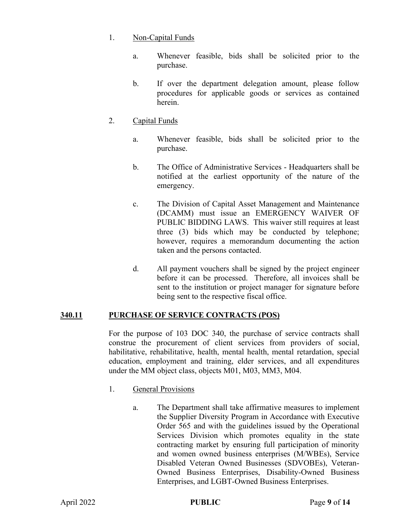## 1. Non-Capital Funds

- a. Whenever feasible, bids shall be solicited prior to the purchase.
- b. If over the department delegation amount, please follow procedures for applicable goods or services as contained herein.

# 2. Capital Funds

- a. Whenever feasible, bids shall be solicited prior to the purchase.
- b. The Office of Administrative Services Headquarters shall be notified at the earliest opportunity of the nature of the emergency.
- c. The Division of Capital Asset Management and Maintenance (DCAMM) must issue an EMERGENCY WAIVER OF PUBLIC BIDDING LAWS. This waiver still requires at least three (3) bids which may be conducted by telephone; however, requires a memorandum documenting the action taken and the persons contacted.
- d. All payment vouchers shall be signed by the project engineer before it can be processed. Therefore, all invoices shall be sent to the institution or project manager for signature before being sent to the respective fiscal office.

# **340.11 PURCHASE OF SERVICE CONTRACTS (POS)**

For the purpose of 103 DOC 340, the purchase of service contracts shall construe the procurement of client services from providers of social, habilitative, rehabilitative, health, mental health, mental retardation, special education, employment and training, elder services, and all expenditures under the MM object class, objects M01, M03, MM3, M04.

- 1. General Provisions
	- a. The Department shall take affirmative measures to implement the Supplier Diversity Program in Accordance with Executive Order 565 and with the guidelines issued by the Operational Services Division which promotes equality in the state contracting market by ensuring full participation of minority and women owned business enterprises (M/WBEs), Service Disabled Veteran Owned Businesses (SDVOBEs), Veteran-Owned Business Enterprises, Disability-Owned Business Enterprises, and LGBT-Owned Business Enterprises.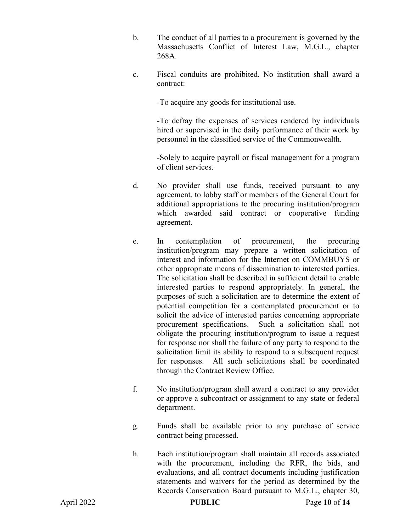- b. The conduct of all parties to a procurement is governed by the Massachusetts Conflict of Interest Law, M.G.L., chapter 268A.
- c. Fiscal conduits are prohibited. No institution shall award a contract:

-To acquire any goods for institutional use.

-To defray the expenses of services rendered by individuals hired or supervised in the daily performance of their work by personnel in the classified service of the Commonwealth.

-Solely to acquire payroll or fiscal management for a program of client services.

- d. No provider shall use funds, received pursuant to any agreement, to lobby staff or members of the General Court for additional appropriations to the procuring institution/program which awarded said contract or cooperative funding agreement.
- e. In contemplation of procurement, the procuring institution/program may prepare a written solicitation of interest and information for the Internet on COMMBUYS or other appropriate means of dissemination to interested parties. The solicitation shall be described in sufficient detail to enable interested parties to respond appropriately. In general, the purposes of such a solicitation are to determine the extent of potential competition for a contemplated procurement or to solicit the advice of interested parties concerning appropriate procurement specifications. Such a solicitation shall not obligate the procuring institution/program to issue a request for response nor shall the failure of any party to respond to the solicitation limit its ability to respond to a subsequent request for responses. All such solicitations shall be coordinated through the Contract Review Office.
- f. No institution/program shall award a contract to any provider or approve a subcontract or assignment to any state or federal department.
- g. Funds shall be available prior to any purchase of service contract being processed.
- h. Each institution/program shall maintain all records associated with the procurement, including the RFR, the bids, and evaluations, and all contract documents including justification statements and waivers for the period as determined by the Records Conservation Board pursuant to M.G.L., chapter 30,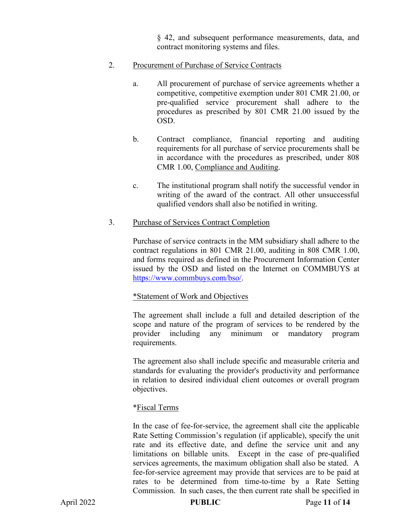§ 42, and subsequent performance measurements, data, and contract monitoring systems and files.

## 2. Procurement of Purchase of Service Contracts

- a. All procurement of purchase of service agreements whether a competitive, competitive exemption under 801 CMR 21.00, or pre-qualified service procurement shall adhere to the procedures as prescribed by 801 CMR 21.00 issued by the OSD.
- b. Contract compliance, financial reporting and auditing requirements for all purchase of service procurements shall be in accordance with the procedures as prescribed, under 808 CMR 1.00, Compliance and Auditing.
- c. The institutional program shall notify the successful vendor in writing of the award of the contract. All other unsuccessful qualified vendors shall also be notified in writing.

## 3. Purchase of Services Contract Completion

Purchase of service contracts in the MM subsidiary shall adhere to the contract regulations in 801 CMR 21.00, auditing in 808 CMR 1.00, and forms required as defined in the Procurement Information Center issued by the OSD and listed on the Internet on COMMBUYS at [https://www.commbuys.com/bso/.](https://www.commbuys.com/bso/)

## \*Statement of Work and Objectives

The agreement shall include a full and detailed description of the scope and nature of the program of services to be rendered by the provider including any minimum or mandatory program requirements.

The agreement also shall include specific and measurable criteria and standards for evaluating the provider's productivity and performance in relation to desired individual client outcomes or overall program objectives.

# \*Fiscal Terms

In the case of fee-for-service, the agreement shall cite the applicable Rate Setting Commission's regulation (if applicable), specify the unit rate and its effective date, and define the service unit and any limitations on billable units. Except in the case of pre-qualified services agreements, the maximum obligation shall also be stated. A fee-for-service agreement may provide that services are to be paid at rates to be determined from time-to-time by a Rate Setting Commission. In such cases, the then current rate shall be specified in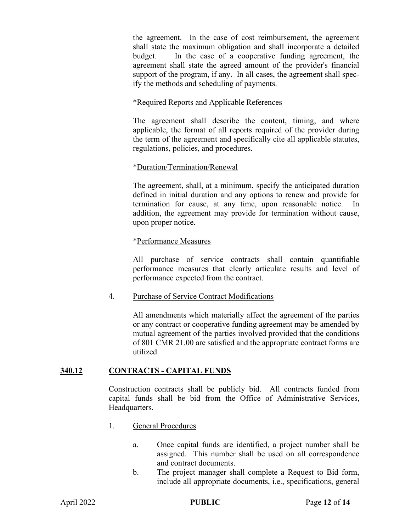the agreement. In the case of cost reimbursement, the agreement shall state the maximum obligation and shall incorporate a detailed budget. In the case of a cooperative funding agreement, the agreement shall state the agreed amount of the provider's financial support of the program, if any. In all cases, the agreement shall specify the methods and scheduling of payments.

## \*Required Reports and Applicable References

The agreement shall describe the content, timing, and where applicable, the format of all reports required of the provider during the term of the agreement and specifically cite all applicable statutes, regulations, policies, and procedures.

## \*Duration/Termination/Renewal

The agreement, shall, at a minimum, specify the anticipated duration defined in initial duration and any options to renew and provide for termination for cause, at any time, upon reasonable notice. In addition, the agreement may provide for termination without cause, upon proper notice.

## \*Performance Measures

All purchase of service contracts shall contain quantifiable performance measures that clearly articulate results and level of performance expected from the contract.

# 4. Purchase of Service Contract Modifications

All amendments which materially affect the agreement of the parties or any contract or cooperative funding agreement may be amended by mutual agreement of the parties involved provided that the conditions of 801 CMR 21.00 are satisfied and the appropriate contract forms are utilized.

# **340.12 CONTRACTS - CAPITAL FUNDS**

Construction contracts shall be publicly bid. All contracts funded from capital funds shall be bid from the Office of Administrative Services, Headquarters.

- 1. General Procedures
	- a. Once capital funds are identified, a project number shall be assigned. This number shall be used on all correspondence and contract documents.
	- b. The project manager shall complete a Request to Bid form, include all appropriate documents, i.e., specifications, general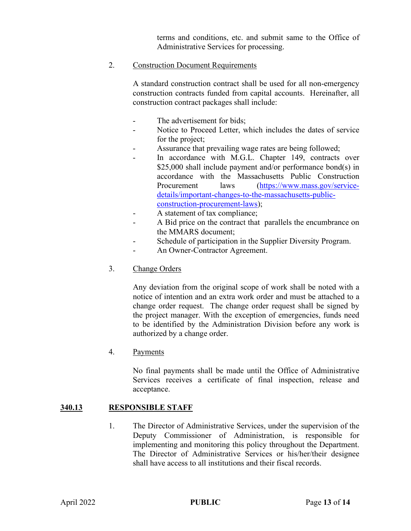terms and conditions, etc. and submit same to the Office of Administrative Services for processing.

#### 2. Construction Document Requirements

A standard construction contract shall be used for all non-emergency construction contracts funded from capital accounts. Hereinafter, all construction contract packages shall include:

- The advertisement for bids:
- Notice to Proceed Letter, which includes the dates of service for the project;
- Assurance that prevailing wage rates are being followed;
- In accordance with M.G.L. Chapter 149, contracts over \$25,000 shall include payment and/or performance bond(s) in accordance with the Massachusetts Public Construction Procurement laws [\(https://www.mass.gov/service](https://www.mass.gov/service-details/important-changes-to-the-massachusetts-public-construction-procurement-laws)[details/important-changes-to-the-massachusetts-public](https://www.mass.gov/service-details/important-changes-to-the-massachusetts-public-construction-procurement-laws)[construction-procurement-laws\)](https://www.mass.gov/service-details/important-changes-to-the-massachusetts-public-construction-procurement-laws);
- A statement of tax compliance;
- A Bid price on the contract that parallels the encumbrance on the MMARS document;
- Schedule of participation in the Supplier Diversity Program.
- An Owner-Contractor Agreement.

## 3. Change Orders

Any deviation from the original scope of work shall be noted with a notice of intention and an extra work order and must be attached to a change order request. The change order request shall be signed by the project manager. With the exception of emergencies, funds need to be identified by the Administration Division before any work is authorized by a change order.

## 4. Payments

No final payments shall be made until the Office of Administrative Services receives a certificate of final inspection, release and acceptance.

## **340.13 RESPONSIBLE STAFF**

1. The Director of Administrative Services, under the supervision of the Deputy Commissioner of Administration, is responsible for implementing and monitoring this policy throughout the Department. The Director of Administrative Services or his/her/their designee shall have access to all institutions and their fiscal records.